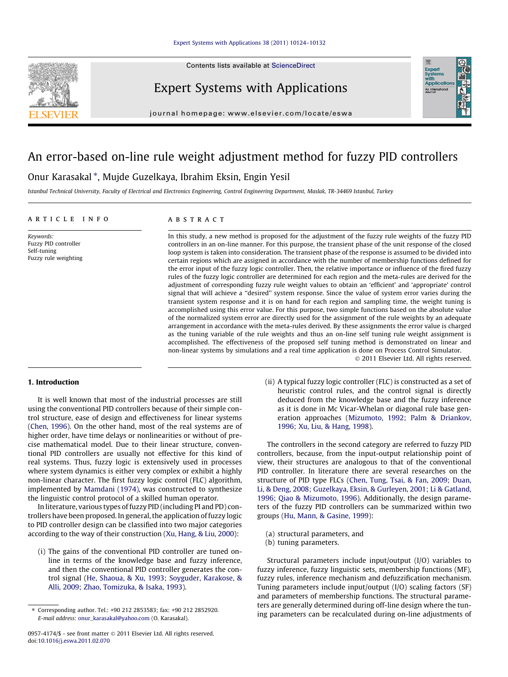Contents lists available at [ScienceDirect](http://www.sciencedirect.com/science/journal/09574174)



Expert Systems with Applications



journal homepage: [www.elsevier.com/locate/eswa](http://www.elsevier.com/locate/eswa)

# An error-based on-line rule weight adjustment method for fuzzy PID controllers

## Onur Karasakal \*, Mujde Guzelkaya, Ibrahim Eksin, Engin Yesil

Istanbul Technical University, Faculty of Electrical and Electronics Engineering, Control Engineering Department, Maslak, TR-34469 Istanbul, Turkey

#### article info

Keywords: Fuzzy PID controller Self-tuning Fuzzy rule weighting

## **ABSTRACT**

In this study, a new method is proposed for the adjustment of the fuzzy rule weights of the fuzzy PID controllers in an on-line manner. For this purpose, the transient phase of the unit response of the closed loop system is taken into consideration. The transient phase of the response is assumed to be divided into certain regions which are assigned in accordance with the number of membership functions defined for the error input of the fuzzy logic controller. Then, the relative importance or influence of the fired fuzzy rules of the fuzzy logic controller are determined for each region and the meta-rules are derived for the adjustment of corresponding fuzzy rule weight values to obtain an 'efficient' and 'appropriate' control signal that will achieve a ''desired'' system response. Since the value of system error varies during the transient system response and it is on hand for each region and sampling time, the weight tuning is accomplished using this error value. For this purpose, two simple functions based on the absolute value of the normalized system error are directly used for the assignment of the rule weights by an adequate arrangement in accordance with the meta-rules derived. By these assignments the error value is charged as the tuning variable of the rule weights and thus an on-line self tuning rule weight assignment is accomplished. The effectiveness of the proposed self tuning method is demonstrated on linear and non-linear systems by simulations and a real time application is done on Process Control Simulator.

- 2011 Elsevier Ltd. All rights reserved.

#### 1. Introduction

It is well known that most of the industrial processes are still using the conventional PID controllers because of their simple control structure, ease of design and effectiveness for linear systems ([Chen, 1996\)](#page--1-0). On the other hand, most of the real systems are of higher order, have time delays or nonlinearities or without of precise mathematical model. Due to their linear structure, conventional PID controllers are usually not effective for this kind of real systems. Thus, fuzzy logic is extensively used in processes where system dynamics is either very complex or exhibit a highly non-linear character. The first fuzzy logic control (FLC) algorithm, implemented by [Mamdani \(1974\),](#page--1-0) was constructed to synthesize the linguistic control protocol of a skilled human operator.

In literature, various types of fuzzy PID (including PI and PD) controllers have been proposed. In general, the application of fuzzy logic to PID controller design can be classified into two major categories according to the way of their construction ([Xu, Hang, & Liu, 2000](#page--1-0)):

(i) The gains of the conventional PID controller are tuned online in terms of the knowledge base and fuzzy inference, and then the conventional PID controller generates the control signal ([He, Shaoua, & Xu, 1993; Soyguder, Karakose, &](#page--1-0) [Alli, 2009; Zhao, Tomizuka, & Isaka, 1993\)](#page--1-0).

(ii) A typical fuzzy logic controller (FLC) is constructed as a set of heuristic control rules, and the control signal is directly deduced from the knowledge base and the fuzzy inference as it is done in Mc Vicar-Whelan or diagonal rule base generation approaches ([Mizumoto, 1992; Palm & Driankov,](#page--1-0) [1996; Xu, Liu, & Hang, 1998\)](#page--1-0).

The controllers in the second category are referred to fuzzy PID controllers, because, from the input-output relationship point of view, their structures are analogous to that of the conventional PID controller. In literature there are several researches on the structure of PID type FLCs ([Chen, Tung, Tsai, & Fan, 2009; Duan,](#page--1-0) [Li, & Deng, 2008; Guzelkaya, Eksin, & Gurleyen, 2001; Li & Gatland,](#page--1-0) [1996; Qiao & Mizumoto, 1996\)](#page--1-0). Additionally, the design parameters of the fuzzy PID controllers can be summarized within two groups [\(Hu, Mann, & Gasine, 1999](#page--1-0)):

- (a) structural parameters, and
- (b) tuning parameters.

Structural parameters include input/output (I/O) variables to fuzzy inference, fuzzy linguistic sets, membership functions (MF), fuzzy rules, inference mechanism and defuzzification mechanism. Tuning parameters include input/output (I/O) scaling factors (SF) and parameters of membership functions. The structural parameters are generally determined during off-line design where the tuning parameters can be recalculated during on-line adjustments of

<sup>⇑</sup> Corresponding author. Tel.: +90 212 2853583; fax: +90 212 2852920. E-mail address: [onur\\_karasakal@yahoo.com](mailto:onur_karasakal@yahoo.com) (O. Karasakal).

<sup>0957-4174/\$ -</sup> see front matter © 2011 Elsevier Ltd. All rights reserved. doi:[10.1016/j.eswa.2011.02.070](http://dx.doi.org/10.1016/j.eswa.2011.02.070)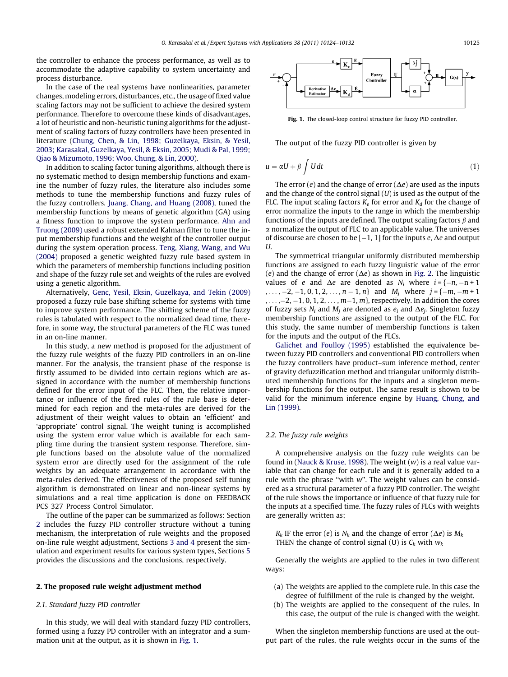the controller to enhance the process performance, as well as to accommodate the adaptive capability to system uncertainty and process disturbance.

In the case of the real systems have nonlinearities, parameter changes, modeling errors, disturbances, etc., the usage of fixed value scaling factors may not be sufficient to achieve the desired system performance. Therefore to overcome these kinds of disadvantages, a lot of heuristic and non-heuristic tuning algorithms for the adjustment of scaling factors of fuzzy controllers have been presented in literature ([Chung, Chen, & Lin, 1998; Guzelkaya, Eksin, & Yesil,](#page--1-0) [2003; Karasakal, Guzelkaya, Yesil, & Eksin, 2005; Mudi & Pal, 1999;](#page--1-0) [Qiao & Mizumoto, 1996; Woo, Chung, & Lin, 2000\)](#page--1-0).

In addition to scaling factor tuning algorithms, although there is no systematic method to design membership functions and examine the number of fuzzy rules, the literature also includes some methods to tune the membership functions and fuzzy rules of the fuzzy controllers. [Juang, Chang, and Huang \(2008\)](#page--1-0), tuned the membership functions by means of genetic algorithm (GA) using a fitness function to improve the system performance. [Ahn and](#page--1-0) [Truong \(2009\)](#page--1-0) used a robust extended Kalman filter to tune the input membership functions and the weight of the controller output during the system operation process. [Teng, Xiang, Wang, and Wu](#page--1-0) [\(2004\)](#page--1-0) proposed a genetic weighted fuzzy rule based system in which the parameters of membership functions including position and shape of the fuzzy rule set and weights of the rules are evolved using a genetic algorithm.

Alternatively, [Genc, Yesil, Eksin, Guzelkaya, and Tekin \(2009\)](#page--1-0) proposed a fuzzy rule base shifting scheme for systems with time to improve system performance. The shifting scheme of the fuzzy rules is tabulated with respect to the normalized dead time, therefore, in some way, the structural parameters of the FLC was tuned in an on-line manner.

In this study, a new method is proposed for the adjustment of the fuzzy rule weights of the fuzzy PID controllers in an on-line manner. For the analysis, the transient phase of the response is firstly assumed to be divided into certain regions which are assigned in accordance with the number of membership functions defined for the error input of the FLC. Then, the relative importance or influence of the fired rules of the rule base is determined for each region and the meta-rules are derived for the adjustment of their weight values to obtain an 'efficient' and 'appropriate' control signal. The weight tuning is accomplished using the system error value which is available for each sampling time during the transient system response. Therefore, simple functions based on the absolute value of the normalized system error are directly used for the assignment of the rule weights by an adequate arrangement in accordance with the meta-rules derived. The effectiveness of the proposed self tuning algorithm is demonstrated on linear and non-linear systems by simulations and a real time application is done on FEEDBACK PCS 327 Process Control Simulator.

The outline of the paper can be summarized as follows: Section 2 includes the fuzzy PID controller structure without a tuning mechanism, the interpretation of rule weights and the proposed on-line rule weight adjustment, Sections [3 and 4](#page--1-0) present the simulation and experiment results for various system types, Sections [5](#page--1-0) provides the discussions and the conclusions, respectively.

#### 2. The proposed rule weight adjustment method

### 2.1. Standard fuzzy PID controller

In this study, we will deal with standard fuzzy PID controllers, formed using a fuzzy PD controller with an integrator and a summation unit at the output, as it is shown in Fig. 1.



Fig. 1. The closed-loop control structure for fuzzy PID controller.

The output of the fuzzy PID controller is given by

$$
u = \alpha U + \beta \int U dt
$$
 (1)

The error  $(e)$  and the change of error  $(\Delta e)$  are used as the inputs and the change of the control signal  $(U)$  is used as the output of the FLC. The input scaling factors  $K_e$  for error and  $K_d$  for the change of error normalize the inputs to the range in which the membership functions of the inputs are defined. The output scaling factors  $\beta$  and  $\alpha$  normalize the output of FLC to an applicable value. The universes of discourse are chosen to be  $[-1, 1]$  for the inputs e,  $\Delta e$  and output U.

The symmetrical triangular uniformly distributed membership functions are assigned to each fuzzy linguistic value of the error (e) and the change of error ( $\Delta e$ ) as shown in [Fig. 2](#page--1-0). The linguistic values of e and  $\Delta e$  are denoted as  $N_i$  where  $i = \{-n, -n + 1\}$ ,..., -2, -1, 0, 1, 2, ...,  $n-1$ ,  $n$ } and  $M_j$  where  $j = \{-m, -m + 1\}$ ,  $\ldots$  ,–2, –1, 0, 1, 2,  $\ldots$  ,  $m{-}1$ ,  $m$ }, respectively. In addition the cores of fuzzy sets  $N_i$  and  $M_i$  are denoted as  $e_i$  and  $\Delta e_i$ . Singleton fuzzy membership functions are assigned to the output of the FLC. For this study, the same number of membership functions is taken for the inputs and the output of the FLCs.

[Galichet and Foulloy \(1995\)](#page--1-0) established the equivalence between fuzzy PID controllers and conventional PID controllers when the fuzzy controllers have product–sum inference method, center of gravity defuzzification method and triangular uniformly distributed membership functions for the inputs and a singleton membership functions for the output. The same result is shown to be valid for the minimum inference engine by [Huang, Chung, and](#page--1-0) [Lin \(1999\).](#page--1-0)

### 2.2. The fuzzy rule weights

A comprehensive analysis on the fuzzy rule weights can be found in [\(Nauck & Kruse, 1998\)](#page--1-0). The weight  $(w)$  is a real value variable that can change for each rule and it is generally added to a rule with the phrase "with w". The weight values can be considered as a structural parameter of a fuzzy PID controller. The weight of the rule shows the importance or influence of that fuzzy rule for the inputs at a specified time. The fuzzy rules of FLCs with weights are generally written as;

 $R_k$  IF the error (e) is  $N_k$  and the change of error ( $\Delta e$ ) is  $M_k$ THEN the change of control signal (U) is  $C_k$  with  $w_k$ 

Generally the weights are applied to the rules in two different ways:

- (a) The weights are applied to the complete rule. In this case the degree of fulfillment of the rule is changed by the weight.
- (b) The weights are applied to the consequent of the rules. In this case, the output of the rule is changed with the weight.

When the singleton membership functions are used at the output part of the rules, the rule weights occur in the sums of the